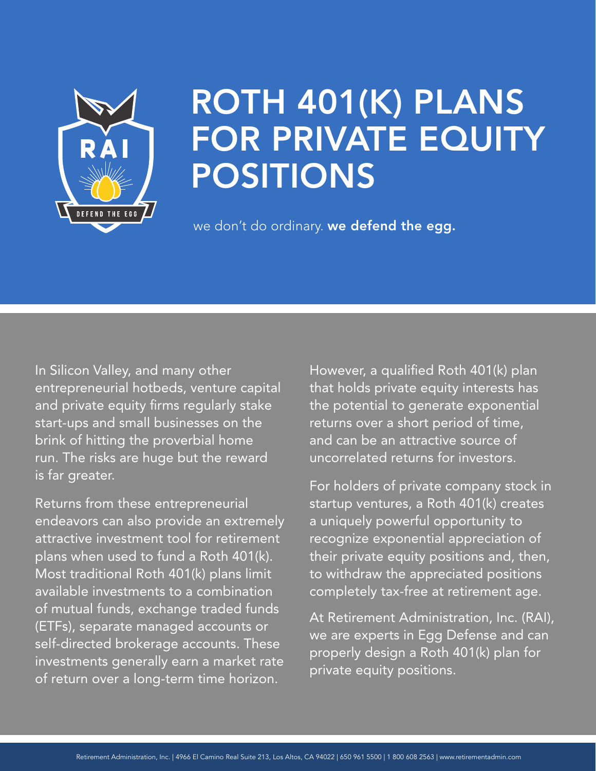

# ROTH 401(K) PLANS FOR PRIVATE EQUITY POSITIONS

we don't do ordinary. we defend the egg.

In Silicon Valley, and many other entrepreneurial hotbeds, venture capital and private equity firms regularly stake start-ups and small businesses on the brink of hitting the proverbial home run. The risks are huge but the reward is far greater.

Returns from these entrepreneurial endeavors can also provide an extremely attractive investment tool for retirement plans when used to fund a Roth 401(k). Most traditional Roth 401(k) plans limit available investments to a combination of mutual funds, exchange traded funds (ETFs), separate managed accounts or self-directed brokerage accounts. These investments generally earn a market rate of return over a long-term time horizon.

However, a qualified Roth 401(k) plan that holds private equity interests has the potential to generate exponential returns over a short period of time, and can be an attractive source of uncorrelated returns for investors.

For holders of private company stock in startup ventures, a Roth 401(k) creates a uniquely powerful opportunity to recognize exponential appreciation of their private equity positions and, then, to withdraw the appreciated positions completely tax-free at retirement age.

At Retirement Administration, Inc. (RAI), we are experts in Egg Defense and can properly design a Roth 401(k) plan for private equity positions.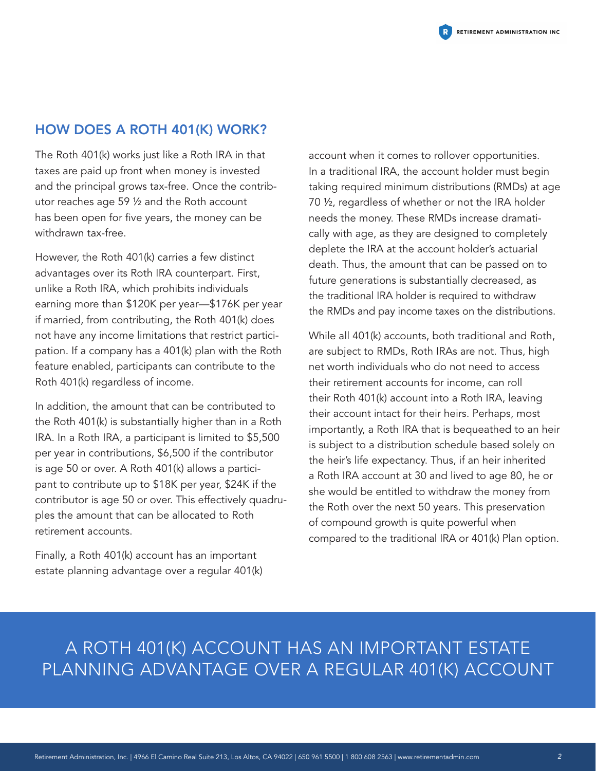The Roth 401(k) works just like a Roth IRA in that taxes are paid up front when money is invested and the principal grows tax-free. Once the contributor reaches age 59 ½ and the Roth account has been open for five years, the money can be withdrawn tax-free.

However, the Roth 401(k) carries a few distinct advantages over its Roth IRA counterpart. First, unlike a Roth IRA, which prohibits individuals earning more than \$120K per year—\$176K per year if married, from contributing, the Roth 401(k) does not have any income limitations that restrict participation. If a company has a 401(k) plan with the Roth feature enabled, participants can contribute to the Roth 401(k) regardless of income.

In addition, the amount that can be contributed to the Roth 401(k) is substantially higher than in a Roth IRA. In a Roth IRA, a participant is limited to \$5,500 per year in contributions, \$6,500 if the contributor is age 50 or over. A Roth 401(k) allows a participant to contribute up to \$18K per year, \$24K if the contributor is age 50 or over. This effectively quadruples the amount that can be allocated to Roth retirement accounts.

Finally, a Roth 401(k) account has an important estate planning advantage over a regular 401(k) account when it comes to rollover opportunities. In a traditional IRA, the account holder must begin taking required minimum distributions (RMDs) at age 70 ½, regardless of whether or not the IRA holder needs the money. These RMDs increase dramatically with age, as they are designed to completely deplete the IRA at the account holder's actuarial death. Thus, the amount that can be passed on to future generations is substantially decreased, as the traditional IRA holder is required to withdraw the RMDs and pay income taxes on the distributions.

While all 401(k) accounts, both traditional and Roth, are subject to RMDs, Roth IRAs are not. Thus, high net worth individuals who do not need to access their retirement accounts for income, can roll their Roth 401(k) account into a Roth IRA, leaving their account intact for their heirs. Perhaps, most importantly, a Roth IRA that is bequeathed to an heir is subject to a distribution schedule based solely on the heir's life expectancy. Thus, if an heir inherited a Roth IRA account at 30 and lived to age 80, he or she would be entitled to withdraw the money from the Roth over the next 50 years. This preservation of compound growth is quite powerful when compared to the traditional IRA or 401(k) Plan option.

# A ROTH 401(K) ACCOUNT HAS AN IMPORTANT ESTATE PLANNING ADVANTAGE OVER A REGULAR 401(K) ACCOUNT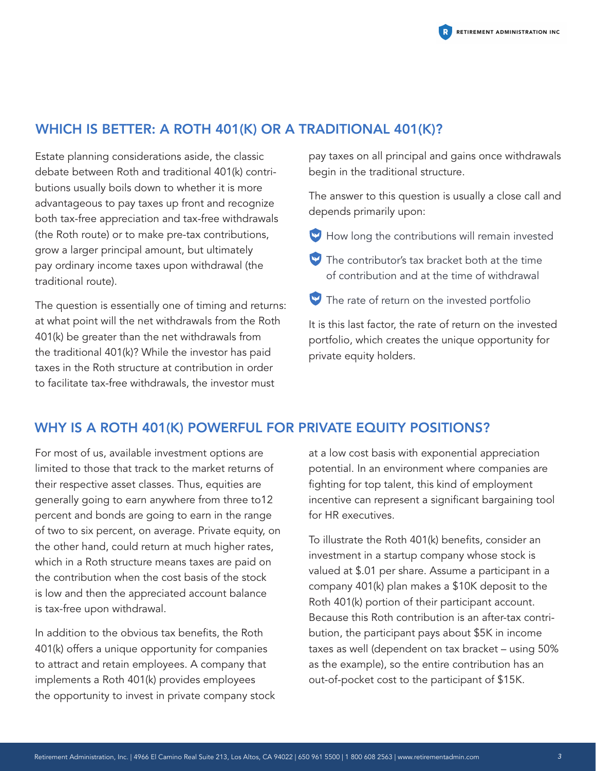### WHICH IS BETTER: A ROTH 401(K) OR A TRADITIONAL 401(K)?

Estate planning considerations aside, the classic debate between Roth and traditional 401(k) contributions usually boils down to whether it is more advantageous to pay taxes up front and recognize both tax-free appreciation and tax-free withdrawals (the Roth route) or to make pre-tax contributions, grow a larger principal amount, but ultimately pay ordinary income taxes upon withdrawal (the traditional route).

The question is essentially one of timing and returns: at what point will the net withdrawals from the Roth 401(k) be greater than the net withdrawals from the traditional 401(k)? While the investor has paid taxes in the Roth structure at contribution in order to facilitate tax-free withdrawals, the investor must

pay taxes on all principal and gains once withdrawals begin in the traditional structure.

The answer to this question is usually a close call and depends primarily upon:

 $\blacktriangleright$  How long the contributions will remain invested

- $\blacktriangleright$  The contributor's tax bracket both at the time of contribution and at the time of withdrawal
- The rate of return on the invested portfolio

It is this last factor, the rate of return on the invested portfolio, which creates the unique opportunity for private equity holders.

### WHY IS A ROTH 401(K) POWERFUL FOR PRIVATE EQUITY POSITIONS?

For most of us, available investment options are limited to those that track to the market returns of their respective asset classes. Thus, equities are generally going to earn anywhere from three to12 percent and bonds are going to earn in the range of two to six percent, on average. Private equity, on the other hand, could return at much higher rates, which in a Roth structure means taxes are paid on the contribution when the cost basis of the stock is low and then the appreciated account balance is tax-free upon withdrawal.

In addition to the obvious tax benefits, the Roth 401(k) offers a unique opportunity for companies to attract and retain employees. A company that implements a Roth 401(k) provides employees the opportunity to invest in private company stock

at a low cost basis with exponential appreciation potential. In an environment where companies are fighting for top talent, this kind of employment incentive can represent a significant bargaining tool for HR executives.

To illustrate the Roth 401(k) benefits, consider an investment in a startup company whose stock is valued at \$.01 per share. Assume a participant in a company 401(k) plan makes a \$10K deposit to the Roth 401(k) portion of their participant account. Because this Roth contribution is an after-tax contribution, the participant pays about \$5K in income taxes as well (dependent on tax bracket – using 50% as the example), so the entire contribution has an out-of-pocket cost to the participant of \$15K.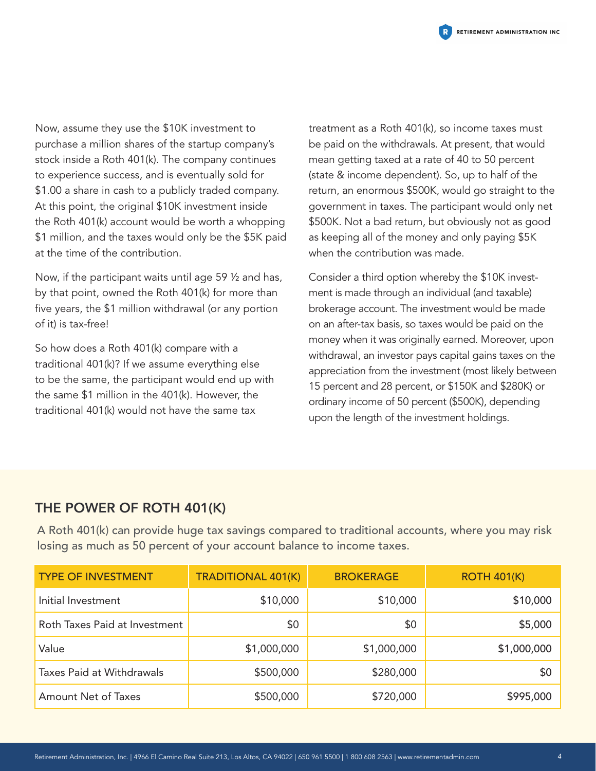

Now, assume they use the \$10K investment to purchase a million shares of the startup company's stock inside a Roth 401(k). The company continues to experience success, and is eventually sold for \$1.00 a share in cash to a publicly traded company. At this point, the original \$10K investment inside the Roth 401(k) account would be worth a whopping \$1 million, and the taxes would only be the \$5K paid at the time of the contribution.

Now, if the participant waits until age 59 ½ and has, by that point, owned the Roth 401(k) for more than five years, the \$1 million withdrawal (or any portion of it) is tax-free!

So how does a Roth 401(k) compare with a traditional 401(k)? If we assume everything else to be the same, the participant would end up with the same \$1 million in the 401(k). However, the traditional 401(k) would not have the same tax

treatment as a Roth 401(k), so income taxes must be paid on the withdrawals. At present, that would mean getting taxed at a rate of 40 to 50 percent (state & income dependent). So, up to half of the return, an enormous \$500K, would go straight to the government in taxes. The participant would only net \$500K. Not a bad return, but obviously not as good as keeping all of the money and only paying \$5K when the contribution was made.

Consider a third option whereby the \$10K investment is made through an individual (and taxable) brokerage account. The investment would be made on an after-tax basis, so taxes would be paid on the money when it was originally earned. Moreover, upon withdrawal, an investor pays capital gains taxes on the appreciation from the investment (most likely between 15 percent and 28 percent, or \$150K and \$280K) or ordinary income of 50 percent (\$500K), depending upon the length of the investment holdings.

#### THE POWER OF ROTH 401(K)

A Roth 401(k) can provide huge tax savings compared to traditional accounts, where you may risk losing as much as 50 percent of your account balance to income taxes.

| <b>TYPE OF INVESTMENT</b>        | <b>TRADITIONAL 401(K)</b> | <b>BROKERAGE</b> | <b>ROTH 401(K)</b> |
|----------------------------------|---------------------------|------------------|--------------------|
| Initial Investment               | \$10,000                  | \$10,000         | \$10,000           |
| Roth Taxes Paid at Investment    | \$0                       | \$0              | \$5,000            |
| Value                            | \$1,000,000               | \$1,000,000      | \$1,000,000        |
| <b>Taxes Paid at Withdrawals</b> | \$500,000                 | \$280,000        | \$0                |
| <b>Amount Net of Taxes</b>       | \$500,000                 | \$720,000        | \$995,000          |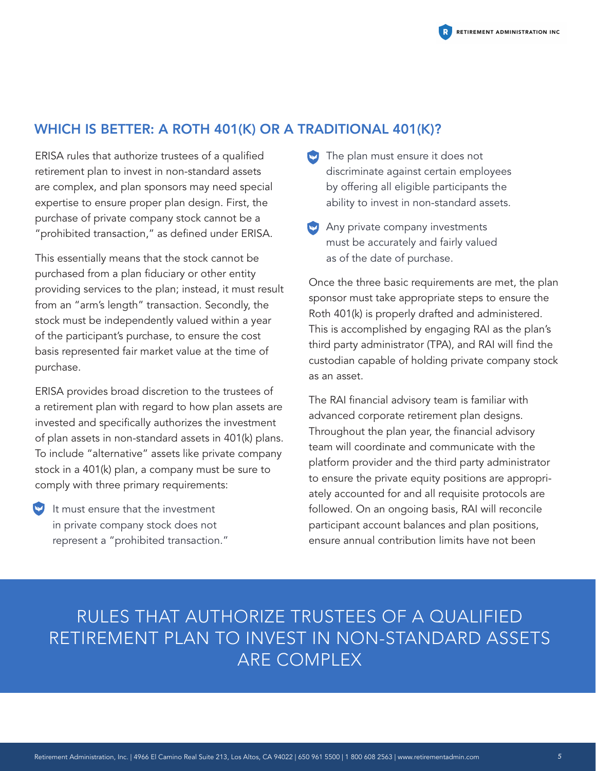### WHICH IS BETTER: A ROTH 401(K) OR A TRADITIONAL 401(K)?

ERISA rules that authorize trustees of a qualified retirement plan to invest in non-standard assets are complex, and plan sponsors may need special expertise to ensure proper plan design. First, the purchase of private company stock cannot be a "prohibited transaction," as defined under ERISA.

This essentially means that the stock cannot be purchased from a plan fiduciary or other entity providing services to the plan; instead, it must result from an "arm's length" transaction. Secondly, the stock must be independently valued within a year of the participant's purchase, to ensure the cost basis represented fair market value at the time of purchase.

ERISA provides broad discretion to the trustees of a retirement plan with regard to how plan assets are invested and specifically authorizes the investment of plan assets in non-standard assets in 401(k) plans. To include "alternative" assets like private company stock in a 401(k) plan, a company must be sure to comply with three primary requirements:

It must ensure that the investment in private company stock does not represent a "prohibited transaction."

- $\bullet$  The plan must ensure it does not discriminate against certain employees by offering all eligible participants the ability to invest in non-standard assets.
- Any private company investments must be accurately and fairly valued as of the date of purchase.

Once the three basic requirements are met, the plan sponsor must take appropriate steps to ensure the Roth 401(k) is properly drafted and administered. This is accomplished by engaging RAI as the plan's third party administrator (TPA), and RAI will find the custodian capable of holding private company stock as an asset.

The RAI financial advisory team is familiar with advanced corporate retirement plan designs. Throughout the plan year, the financial advisory team will coordinate and communicate with the platform provider and the third party administrator to ensure the private equity positions are appropriately accounted for and all requisite protocols are followed. On an ongoing basis, RAI will reconcile participant account balances and plan positions, ensure annual contribution limits have not been

## RULES THAT AUTHORIZE TRUSTEES OF A QUALIFIED RETIREMENT PLAN TO INVEST IN NON-STANDARD ASSETS ARE COMPLEX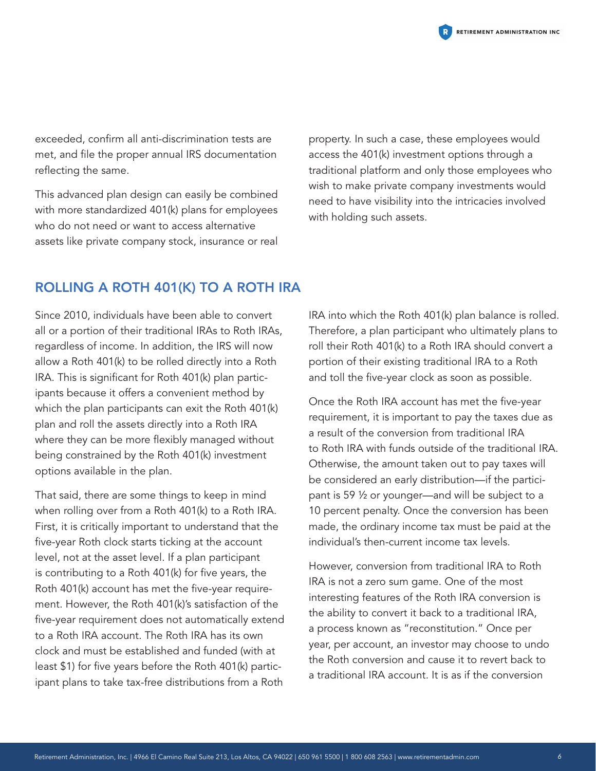

exceeded, confirm all anti-discrimination tests are met, and file the proper annual IRS documentation reflecting the same.

This advanced plan design can easily be combined with more standardized 401(k) plans for employees who do not need or want to access alternative assets like private company stock, insurance or real

property. In such a case, these employees would access the 401(k) investment options through a traditional platform and only those employees who wish to make private company investments would need to have visibility into the intricacies involved with holding such assets.

#### ROLLING A ROTH 401(K) TO A ROTH IRA

Since 2010, individuals have been able to convert all or a portion of their traditional IRAs to Roth IRAs, regardless of income. In addition, the IRS will now allow a Roth 401(k) to be rolled directly into a Roth IRA. This is significant for Roth 401(k) plan participants because it offers a convenient method by which the plan participants can exit the Roth 401(k) plan and roll the assets directly into a Roth IRA where they can be more flexibly managed without being constrained by the Roth 401(k) investment options available in the plan.

That said, there are some things to keep in mind when rolling over from a Roth 401(k) to a Roth IRA. First, it is critically important to understand that the five-year Roth clock starts ticking at the account level, not at the asset level. If a plan participant is contributing to a Roth 401(k) for five years, the Roth 401(k) account has met the five-year requirement. However, the Roth 401(k)'s satisfaction of the five-year requirement does not automatically extend to a Roth IRA account. The Roth IRA has its own clock and must be established and funded (with at least \$1) for five years before the Roth 401(k) participant plans to take tax-free distributions from a Roth

IRA into which the Roth 401(k) plan balance is rolled. Therefore, a plan participant who ultimately plans to roll their Roth 401(k) to a Roth IRA should convert a portion of their existing traditional IRA to a Roth and toll the five-year clock as soon as possible.

Once the Roth IRA account has met the five-year requirement, it is important to pay the taxes due as a result of the conversion from traditional IRA to Roth IRA with funds outside of the traditional IRA. Otherwise, the amount taken out to pay taxes will be considered an early distribution—if the participant is 59 ½ or younger—and will be subject to a 10 percent penalty. Once the conversion has been made, the ordinary income tax must be paid at the individual's then-current income tax levels.

However, conversion from traditional IRA to Roth IRA is not a zero sum game. One of the most interesting features of the Roth IRA conversion is the ability to convert it back to a traditional IRA, a process known as "reconstitution." Once per year, per account, an investor may choose to undo the Roth conversion and cause it to revert back to a traditional IRA account. It is as if the conversion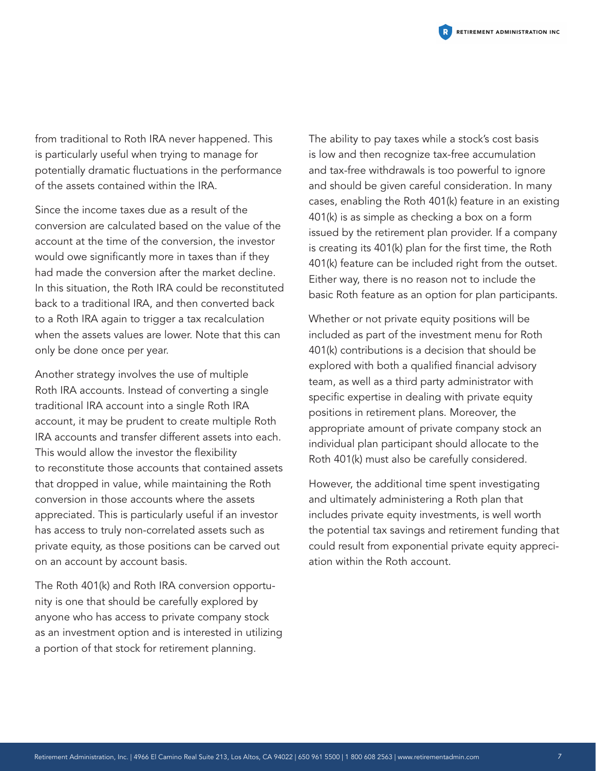

from traditional to Roth IRA never happened. This is particularly useful when trying to manage for potentially dramatic fluctuations in the performance of the assets contained within the IRA.

Since the income taxes due as a result of the conversion are calculated based on the value of the account at the time of the conversion, the investor would owe significantly more in taxes than if they had made the conversion after the market decline. In this situation, the Roth IRA could be reconstituted back to a traditional IRA, and then converted back to a Roth IRA again to trigger a tax recalculation when the assets values are lower. Note that this can only be done once per year.

Another strategy involves the use of multiple Roth IRA accounts. Instead of converting a single traditional IRA account into a single Roth IRA account, it may be prudent to create multiple Roth IRA accounts and transfer different assets into each. This would allow the investor the flexibility to reconstitute those accounts that contained assets that dropped in value, while maintaining the Roth conversion in those accounts where the assets appreciated. This is particularly useful if an investor has access to truly non-correlated assets such as private equity, as those positions can be carved out on an account by account basis.

The Roth 401(k) and Roth IRA conversion opportunity is one that should be carefully explored by anyone who has access to private company stock as an investment option and is interested in utilizing a portion of that stock for retirement planning.

The ability to pay taxes while a stock's cost basis is low and then recognize tax-free accumulation and tax-free withdrawals is too powerful to ignore and should be given careful consideration. In many cases, enabling the Roth 401(k) feature in an existing 401(k) is as simple as checking a box on a form issued by the retirement plan provider. If a company is creating its 401(k) plan for the first time, the Roth 401(k) feature can be included right from the outset. Either way, there is no reason not to include the basic Roth feature as an option for plan participants.

Whether or not private equity positions will be included as part of the investment menu for Roth 401(k) contributions is a decision that should be explored with both a qualified financial advisory team, as well as a third party administrator with specific expertise in dealing with private equity positions in retirement plans. Moreover, the appropriate amount of private company stock an individual plan participant should allocate to the Roth 401(k) must also be carefully considered.

However, the additional time spent investigating and ultimately administering a Roth plan that includes private equity investments, is well worth the potential tax savings and retirement funding that could result from exponential private equity appreciation within the Roth account.